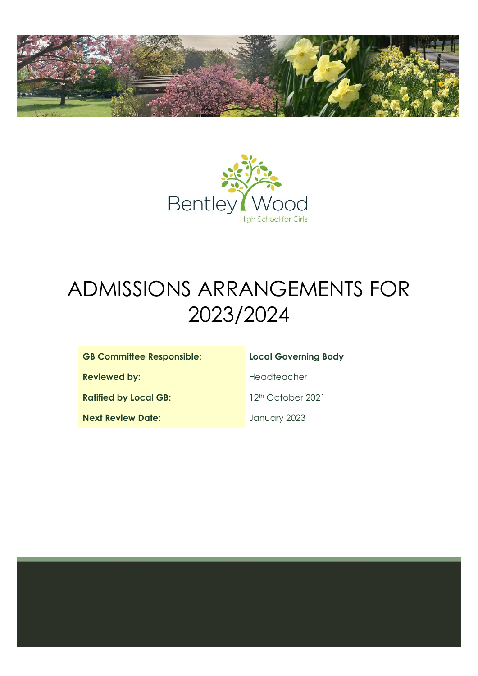



# ADMISSIONS ARRANGEMENTS FOR 2023/2024

### **GB Committee Responsible: Local Governing Body**

**Reviewed by: Headteacher** 

Ratified by Local GB: 12<sup>th</sup> October 2021

**Next Review Date: Next Review Date:** January 2023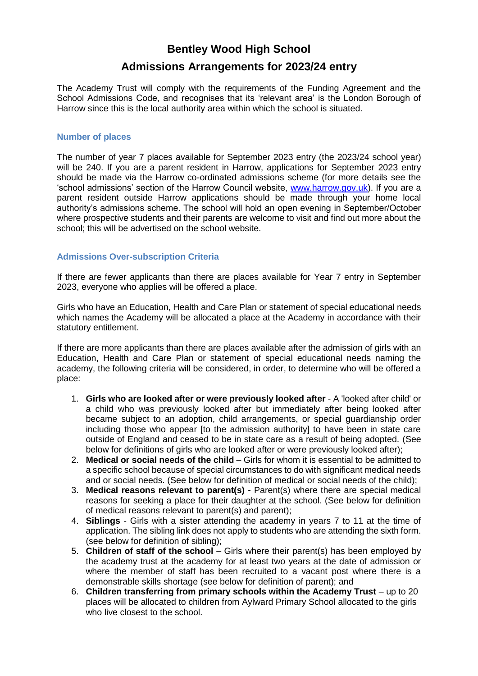# **Bentley Wood High School**

## **Admissions Arrangements for 2023/24 entry**

The Academy Trust will comply with the requirements of the Funding Agreement and the School Admissions Code, and recognises that its 'relevant area' is the London Borough of Harrow since this is the local authority area within which the school is situated.

#### **Number of places**

The number of year 7 places available for September 2023 entry (the 2023/24 school year) will be 240. If you are a parent resident in Harrow, applications for September 2023 entry should be made via the Harrow co-ordinated admissions scheme (for more details see the 'school admissions' section of the Harrow Council website, [www.harrow.gov.uk\)](http://www.harrow.gov.uk/). If you are a parent resident outside Harrow applications should be made through your home local authority's admissions scheme. The school will hold an open evening in September/October where prospective students and their parents are welcome to visit and find out more about the school; this will be advertised on the school website.

#### **Admissions Over-subscription Criteria**

If there are fewer applicants than there are places available for Year 7 entry in September 2023, everyone who applies will be offered a place.

Girls who have an Education, Health and Care Plan or statement of special educational needs which names the Academy will be allocated a place at the Academy in accordance with their statutory entitlement.

If there are more applicants than there are places available after the admission of girls with an Education, Health and Care Plan or statement of special educational needs naming the academy, the following criteria will be considered, in order, to determine who will be offered a place:

- 1. **Girls who are looked after or were previously looked after** A 'looked after child' or a child who was previously looked after but immediately after being looked after became subject to an adoption, child arrangements, or special guardianship order including those who appear [to the admission authority] to have been in state care outside of England and ceased to be in state care as a result of being adopted. (See below for definitions of girls who are looked after or were previously looked after);
- 2. **Medical or social needs of the child** Girls for whom it is essential to be admitted to a specific school because of special circumstances to do with significant medical needs and or social needs. (See below for definition of medical or social needs of the child);
- 3. **Medical reasons relevant to parent(s)** Parent(s) where there are special medical reasons for seeking a place for their daughter at the school. (See below for definition of medical reasons relevant to parent(s) and parent);
- 4. **Siblings**  Girls with a sister attending the academy in years 7 to 11 at the time of application. The sibling link does not apply to students who are attending the sixth form. (see below for definition of sibling);
- 5. **Children of staff of the school** Girls where their parent(s) has been employed by the academy trust at the academy for at least two years at the date of admission or where the member of staff has been recruited to a vacant post where there is a demonstrable skills shortage (see below for definition of parent); and
- 6. Children transferring from primary schools within the Academy Trust up to 20 places will be allocated to children from Aylward Primary School allocated to the girls who live closest to the school.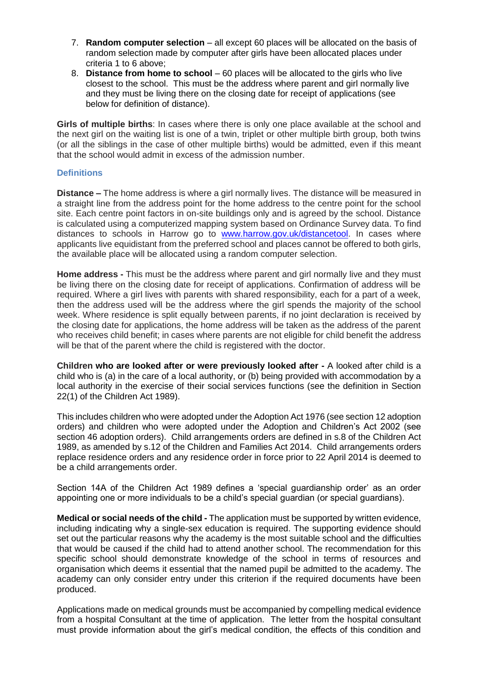- 7. **Random computer selection**  all except 60 places will be allocated on the basis of random selection made by computer after girls have been allocated places under criteria 1 to 6 above;
- 8. **Distance from home to school** 60 places will be allocated to the girls who live closest to the school. This must be the address where parent and girl normally live and they must be living there on the closing date for receipt of applications (see below for definition of distance).

**Girls of multiple births**: In cases where there is only one place available at the school and the next girl on the waiting list is one of a twin, triplet or other multiple birth group, both twins (or all the siblings in the case of other multiple births) would be admitted, even if this meant that the school would admit in excess of the admission number.

#### **Definitions**

**Distance –** The home address is where a girl normally lives. The distance will be measured in a straight line from the address point for the home address to the centre point for the school site. Each centre point factors in on-site buildings only and is agreed by the school. Distance is calculated using a computerized mapping system based on Ordinance Survey data. To find distances to schools in Harrow go to [www.harrow.gov.uk/distancetool.](http://www.harrow.gov.uk/distancetool) In cases where applicants live equidistant from the preferred school and places cannot be offered to both girls, the available place will be allocated using a random computer selection.

**Home address -** This must be the address where parent and girl normally live and they must be living there on the closing date for receipt of applications. Confirmation of address will be required. Where a girl lives with parents with shared responsibility, each for a part of a week, then the address used will be the address where the girl spends the majority of the school week. Where residence is split equally between parents, if no joint declaration is received by the closing date for applications, the home address will be taken as the address of the parent who receives child benefit; in cases where parents are not eligible for child benefit the address will be that of the parent where the child is registered with the doctor.

**Children who are looked after or were previously looked after -** A looked after child is a child who is (a) in the care of a local authority, or (b) being provided with accommodation by a local authority in the exercise of their social services functions (see the definition in Section 22(1) of the Children Act 1989).

This includes children who were adopted under the Adoption Act 1976 (see section 12 adoption orders) and children who were adopted under the Adoption and Children's Act 2002 (see section 46 adoption orders). Child arrangements orders are defined in s.8 of the Children Act 1989, as amended by s.12 of the Children and Families Act 2014. Child arrangements orders replace residence orders and any residence order in force prior to 22 April 2014 is deemed to be a child arrangements order.

Section 14A of the Children Act 1989 defines a 'special guardianship order' as an order appointing one or more individuals to be a child's special guardian (or special guardians).

**Medical or social needs of the child -** The application must be supported by written evidence, including indicating why a single-sex education is required. The supporting evidence should set out the particular reasons why the academy is the most suitable school and the difficulties that would be caused if the child had to attend another school. The recommendation for this specific school should demonstrate knowledge of the school in terms of resources and organisation which deems it essential that the named pupil be admitted to the academy. The academy can only consider entry under this criterion if the required documents have been produced.

Applications made on medical grounds must be accompanied by compelling medical evidence from a hospital Consultant at the time of application. The letter from the hospital consultant must provide information about the girl's medical condition, the effects of this condition and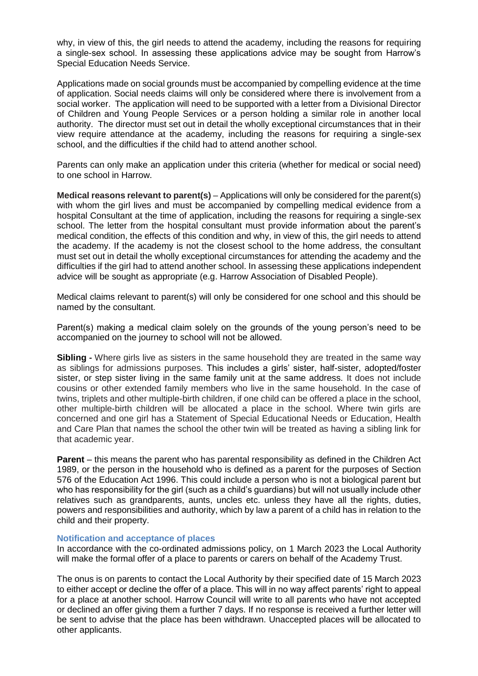why, in view of this, the girl needs to attend the academy, including the reasons for requiring a single-sex school. In assessing these applications advice may be sought from Harrow's Special Education Needs Service.

Applications made on social grounds must be accompanied by compelling evidence at the time of application. Social needs claims will only be considered where there is involvement from a social worker. The application will need to be supported with a letter from a Divisional Director of Children and Young People Services or a person holding a similar role in another local authority. The director must set out in detail the wholly exceptional circumstances that in their view require attendance at the academy, including the reasons for requiring a single-sex school, and the difficulties if the child had to attend another school.

Parents can only make an application under this criteria (whether for medical or social need) to one school in Harrow.

**Medical reasons relevant to parent(s)** – Applications will only be considered for the parent(s) with whom the girl lives and must be accompanied by compelling medical evidence from a hospital Consultant at the time of application, including the reasons for requiring a single-sex school. The letter from the hospital consultant must provide information about the parent's medical condition, the effects of this condition and why, in view of this, the girl needs to attend the academy. If the academy is not the closest school to the home address, the consultant must set out in detail the wholly exceptional circumstances for attending the academy and the difficulties if the girl had to attend another school. In assessing these applications independent advice will be sought as appropriate (e.g. Harrow Association of Disabled People).

Medical claims relevant to parent(s) will only be considered for one school and this should be named by the consultant.

Parent(s) making a medical claim solely on the grounds of the young person's need to be accompanied on the journey to school will not be allowed.

**Sibling -** Where girls live as sisters in the same household they are treated in the same way as siblings for admissions purposes. This includes a girls' sister, half-sister, adopted/foster sister, or step sister living in the same family unit at the same address. It does not include cousins or other extended family members who live in the same household. In the case of twins, triplets and other multiple-birth children, if one child can be offered a place in the school, other multiple-birth children will be allocated a place in the school. Where twin girls are concerned and one girl has a Statement of Special Educational Needs or Education, Health and Care Plan that names the school the other twin will be treated as having a sibling link for that academic year.

**Parent** – this means the parent who has parental responsibility as defined in the Children Act 1989, or the person in the household who is defined as a parent for the purposes of Section 576 of the Education Act 1996. This could include a person who is not a biological parent but who has responsibility for the girl (such as a child's guardians) but will not usually include other relatives such as grandparents, aunts, uncles etc. unless they have all the rights, duties, powers and responsibilities and authority, which by law a parent of a child has in relation to the child and their property.

#### **Notification and acceptance of places**

In accordance with the co-ordinated admissions policy, on 1 March 2023 the Local Authority will make the formal offer of a place to parents or carers on behalf of the Academy Trust.

The onus is on parents to contact the Local Authority by their specified date of 15 March 2023 to either accept or decline the offer of a place. This will in no way affect parents' right to appeal for a place at another school. Harrow Council will write to all parents who have not accepted or declined an offer giving them a further 7 days. If no response is received a further letter will be sent to advise that the place has been withdrawn. Unaccepted places will be allocated to other applicants.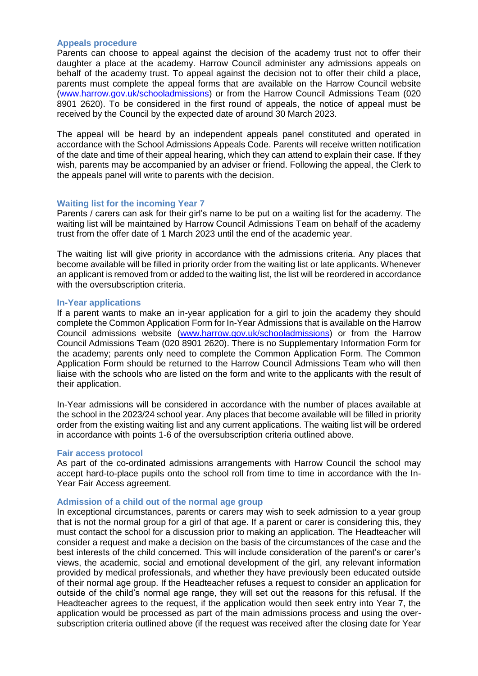#### **Appeals procedure**

Parents can choose to appeal against the decision of the academy trust not to offer their daughter a place at the academy. Harrow Council administer any admissions appeals on behalf of the academy trust. To appeal against the decision not to offer their child a place, parents must complete the appeal forms that are available on the Harrow Council website [\(www.harrow.gov.uk/schooladmissions\)](http://www.harrow.gov.uk/schooladmissions) or from the Harrow Council Admissions Team (020 8901 2620). To be considered in the first round of appeals, the notice of appeal must be received by the Council by the expected date of around 30 March 2023.

The appeal will be heard by an independent appeals panel constituted and operated in accordance with the School Admissions Appeals Code. Parents will receive written notification of the date and time of their appeal hearing, which they can attend to explain their case. If they wish, parents may be accompanied by an adviser or friend. Following the appeal, the Clerk to the appeals panel will write to parents with the decision.

#### **Waiting list for the incoming Year 7**

Parents / carers can ask for their girl's name to be put on a waiting list for the academy. The waiting list will be maintained by Harrow Council Admissions Team on behalf of the academy trust from the offer date of 1 March 2023 until the end of the academic year.

The waiting list will give priority in accordance with the admissions criteria. Any places that become available will be filled in priority order from the waiting list or late applicants. Whenever an applicant is removed from or added to the waiting list, the list will be reordered in accordance with the oversubscription criteria.

#### **In-Year applications**

If a parent wants to make an in-year application for a girl to join the academy they should complete the Common Application Form for In-Year Admissions that is available on the Harrow Council admissions website [\(www.harrow.gov.uk/schooladmissions\)](http://www.harrow.gov.uk/schooladmissions) or from the Harrow Council Admissions Team (020 8901 2620). There is no Supplementary Information Form for the academy; parents only need to complete the Common Application Form. The Common Application Form should be returned to the Harrow Council Admissions Team who will then liaise with the schools who are listed on the form and write to the applicants with the result of their application.

In-Year admissions will be considered in accordance with the number of places available at the school in the 2023/24 school year. Any places that become available will be filled in priority order from the existing waiting list and any current applications. The waiting list will be ordered in accordance with points 1-6 of the oversubscription criteria outlined above.

#### **Fair access protocol**

As part of the co-ordinated admissions arrangements with Harrow Council the school may accept hard-to-place pupils onto the school roll from time to time in accordance with the In-Year Fair Access agreement.

#### **Admission of a child out of the normal age group**

In exceptional circumstances, parents or carers may wish to seek admission to a year group that is not the normal group for a girl of that age. If a parent or carer is considering this, they must contact the school for a discussion prior to making an application. The Headteacher will consider a request and make a decision on the basis of the circumstances of the case and the best interests of the child concerned. This will include consideration of the parent's or carer's views, the academic, social and emotional development of the girl, any relevant information provided by medical professionals, and whether they have previously been educated outside of their normal age group. If the Headteacher refuses a request to consider an application for outside of the child's normal age range, they will set out the reasons for this refusal. If the Headteacher agrees to the request, if the application would then seek entry into Year 7, the application would be processed as part of the main admissions process and using the oversubscription criteria outlined above (if the request was received after the closing date for Year